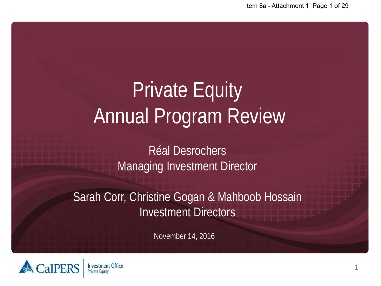# Private Equity Annual Program Review

Réal Desrochers Managing Investment Director

Sarah Corr, Christine Gogan & Mahboob Hossain Investment Directors

November 14, 2016

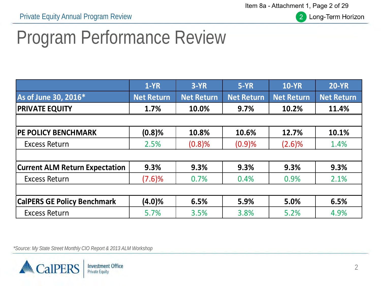Item 8a - Attachment 1, Page 2 of 29



Long-Term Horizon

## Program Performance Review

|                                       | $1-YR$            | $3-YR$            | $5-YR$            | <b>10-YR</b>      | <b>20-YR</b>      |
|---------------------------------------|-------------------|-------------------|-------------------|-------------------|-------------------|
| As of June 30, 2016*                  | <b>Net Return</b> | <b>Net Return</b> | <b>Net Return</b> | <b>Net Return</b> | <b>Net Return</b> |
| <b>PRIVATE EQUITY</b>                 | 1.7%              | 10.0%             | 9.7%              | 10.2%             | 11.4%             |
|                                       |                   |                   |                   |                   |                   |
| <b>PE POLICY BENCHMARK</b>            | $(0.8)$ %         | 10.8%             | 10.6%             | 12.7%             | 10.1%             |
| <b>Excess Return</b>                  | 2.5%              | (0.8)%            | (0.9)%            | (2.6)%            | 1.4%              |
|                                       |                   |                   |                   |                   |                   |
| <b>Current ALM Return Expectation</b> | 9.3%              | 9.3%              | 9.3%              | 9.3%              | 9.3%              |
| <b>Excess Return</b>                  | (7.6)%            | 0.7%              | 0.4%              | 0.9%              | 2.1%              |
|                                       |                   |                   |                   |                   |                   |
| <b>CalPERS GE Policy Benchmark</b>    | $(4.0)\%$         | 6.5%              | 5.9%              | 5.0%              | 6.5%              |
| <b>Excess Return</b>                  | 5.7%              | 3.5%              | 3.8%              | 5.2%              | 4.9%              |

*\*Source: My State Street Monthly CIO Report & 2013 ALM Workshop*

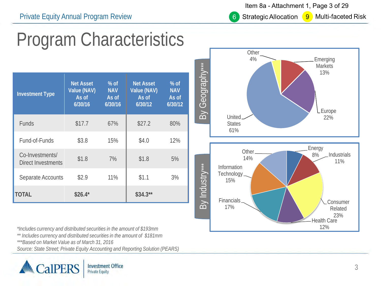Item 8a - Attachment 1, Page 3 of 29

**Strategic Allocation** 

6

**9** Multi-faceted Risk

## Program Characteristics

| <b>Investment Type</b>                | <b>Net Asset</b><br>Value (NAV)<br>As of<br>6/30/16 | $%$ of<br><b>NAV</b><br>As of<br>6/30/16 | <b>Net Asset</b><br>Value (NAV)<br>As of<br>6/30/12 | $%$ of<br><b>NAV</b><br>As of<br>6/30/12 |
|---------------------------------------|-----------------------------------------------------|------------------------------------------|-----------------------------------------------------|------------------------------------------|
| <b>Funds</b>                          | \$17.7                                              | 67%                                      | \$27.2                                              | 80%                                      |
| Fund-of-Funds                         | \$3.8                                               | 15%                                      | \$4.0                                               | 12%                                      |
| Co-Investments/<br>Direct Investments | \$1.8                                               | 7%                                       | \$1.8                                               | 5%                                       |
| Separate Accounts                     | \$2.9                                               | 11%                                      | \$1.1                                               | 3%                                       |
| <b>TOTAL</b>                          | $$26.4*$                                            |                                          | $$34.3**$                                           |                                          |

*\*Includes currency and distributed securities in the amount of \$193mm*

*\*\* Includes currency and distributed securities in the amount of \$181mm*

*\*\*\*Based on Market Value as of March 31, 2016*

*Source: State Street; Private Equity Accounting and Reporting Solution (PEARS)*



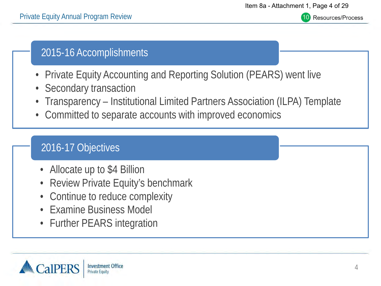Resources/Process

#### 2015-16 Accomplishments

- Private Equity Accounting and Reporting Solution (PEARS) went live
- Secondary transaction
- Transparency Institutional Limited Partners Association (ILPA) Template
- Committed to separate accounts with improved economics

#### 2016-17 Objectives

- Allocate up to \$4 Billion
- Review Private Equity's benchmark
- Continue to reduce complexity
- Examine Business Model
- Further PEARS integration

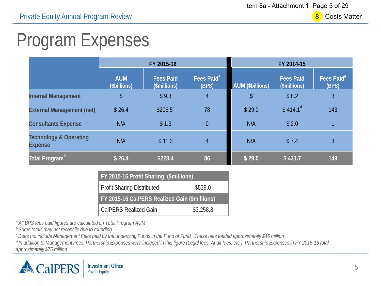$8<sup>1</sup>$ **Costs Matter** 

## Program Expenses

|                                                     |                            | FY 2015-16                       |                                 | FY 2014-15       |                                  |                                 |  |
|-----------------------------------------------------|----------------------------|----------------------------------|---------------------------------|------------------|----------------------------------|---------------------------------|--|
|                                                     | <b>AUM</b><br>(\$billions) | <b>Fees Paid</b><br>(\$millions) | Fees Paid <sup>a</sup><br>(BPS) | AUM (\$billions) | <b>Fees Paid</b><br>(\$millions) | Fees Paid <sup>a</sup><br>(BPS) |  |
| <b>Internal Management</b>                          | \$                         | \$9.3                            | 4                               | \$               | \$8.2                            | 3                               |  |
| <b>External Management (net)</b>                    | \$26.4                     | $$206.5^c$                       | 78                              | \$29.0           | \$414.1 <sup>d</sup>             | 143                             |  |
| <b>Consultants Expense</b>                          | N/A                        | \$1.3                            | $\overline{0}$                  | N/A              | \$2.0                            | 1                               |  |
| <b>Technology &amp; Operating</b><br><b>Expense</b> | N/A                        | \$11.3                           | $\overline{4}$                  | N/A              | \$7.4                            | 3                               |  |
| Total Program <sup>b</sup>                          | \$26.4                     | \$228.4                          | 86                              | \$29.0           | \$431.7                          | 149                             |  |

| <b>FY 2015-16 Profit Sharing (\$millions)</b> |           |  |  |
|-----------------------------------------------|-----------|--|--|
| Profit Sharing Distributed                    | \$539.0   |  |  |
| FY 2015-16 CalPERS Realized Gain (\$millions) |           |  |  |
| CalPERS Realized Gain                         | \$3,258.8 |  |  |

*a All BPS fees paid figures are calculated on Total Program AUM*

*b Some totals may not reconcile due to rounding*

*c Does not include Management Fees paid by the underlying Funds in the Fund of Fund. These fees totaled approximately \$46 million*

*d In addition to Management Fees, Partnership Expenses were included in this figure (Legal fees, Audit fees, etc.). Partnership Expenses in FY 2015-16 total approximately \$75 million*

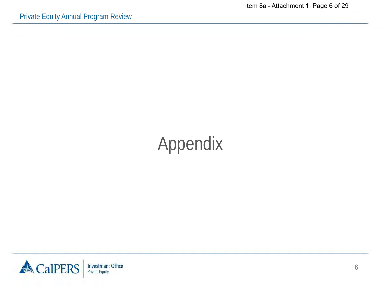## Appendix

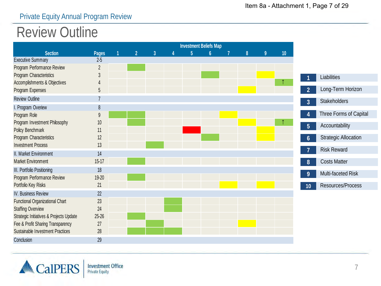#### Private Equity Annual Program Review

#### Review Outline

|                                                       |                                  |                |                |                | <b>Investment Beliefs Map</b> |   |   |    |
|-------------------------------------------------------|----------------------------------|----------------|----------------|----------------|-------------------------------|---|---|----|
| <b>Section</b>                                        | Pages                            | $\overline{2}$ | $\overline{3}$ | $\overline{5}$ | $\mathbf{6}$                  | 8 | 9 | 10 |
| <b>Executive Summary</b>                              | $2-5$                            |                |                |                |                               |   |   |    |
| Program Performance Review<br>Program Characteristics | $\overline{2}$<br>$\mathfrak{Z}$ |                |                |                |                               |   |   |    |
| Accomplishments & Objectives                          |                                  |                |                |                |                               |   |   |    |
| Program Expenses                                      | 5                                |                |                |                |                               |   |   |    |
| <b>Review Outline</b>                                 | $\overline{7}$                   |                |                |                |                               |   |   |    |
| I. Program Overiew                                    | 8                                |                |                |                |                               |   |   |    |
| Program Role                                          | $\mathsf{Q}$                     |                |                |                |                               |   |   |    |
| Program Investment Philosophy                         | 10                               |                |                |                |                               |   |   |    |
| Policy Benchmark                                      | 11                               |                |                |                |                               |   |   |    |
| Program Characteristics                               | 12                               |                |                |                |                               |   |   |    |
| <b>Investment Process</b>                             | 13                               |                |                |                |                               |   |   |    |
| II. Market Environment                                | 14                               |                |                |                |                               |   |   |    |
| Market Environment                                    | $15-17$                          |                |                |                |                               |   |   |    |
| III. Portfolio Positioning                            | 18                               |                |                |                |                               |   |   |    |
| Program Performance Review                            | 19-20                            |                |                |                |                               |   |   |    |
| Portfolio Key Risks                                   | 21                               |                |                |                |                               |   |   |    |
| IV. Business Review                                   | 22                               |                |                |                |                               |   |   |    |
| <b>Functional Organizational Chart</b>                | 23                               |                |                |                |                               |   |   |    |
| <b>Staffing Overview</b>                              | 24                               |                |                |                |                               |   |   |    |
| Strategic Initiatives & Projects Update               | 25-26                            |                |                |                |                               |   |   |    |
| Fee & Profit Sharing Transparency                     | 27                               |                |                |                |                               |   |   |    |
| <b>Sustainable Investment Practices</b>               | 28                               |                |                |                |                               |   |   |    |
| Conclusion                                            | 29                               |                |                |                |                               |   |   |    |

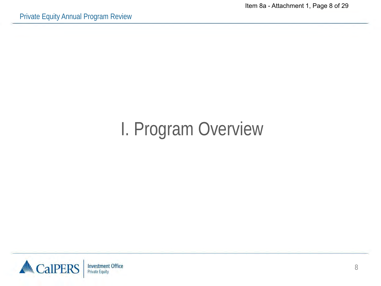Item 8a - Attachment 1, Page 8 of 29

## I. Program Overview

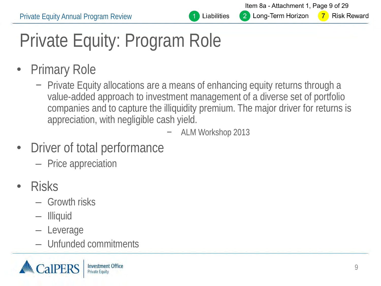

Item 8a - Attachment 1, Page 9 of 29 2 Long-Term Horizon

**Risk Reward**  $\overline{7}$ 

# Private Equity: Program Role

- Primary Role
	- − Private Equity allocations are a means of enhancing equity returns through a value-added approach to investment management of a diverse set of portfolio companies and to capture the illiquidity premium. The major driver for returns is appreciation, with negligible cash yield.
		- − ALM Workshop 2013
- Driver of total performance
	- Price appreciation
- Risks
	- Growth risks
	- Illiquid
	- Leverage
	- Unfunded commitments

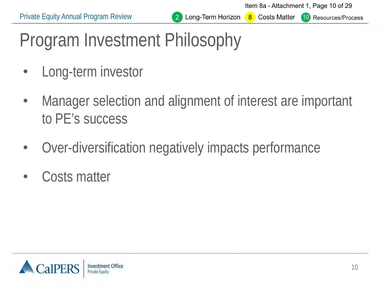Item 8a - Attachment 1, Page 10 of 29

**10** Resources/Process

# Program Investment Philosophy

- Long-term investor
- Manager selection and alignment of interest are important to PE's success
- Over-diversification negatively impacts performance
- Costs matter

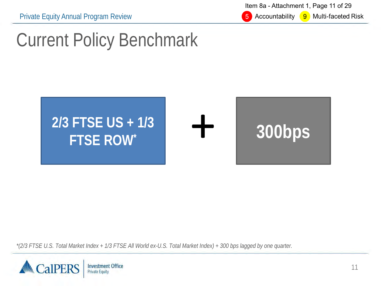Item 8a - Attachment 1, Page 11 of 29

5 Accountability 9 Multi-faceted Risk

#### Current Policy Benchmark



*\*(2/3 FTSE U.S. Total Market Index + 1/3 FTSE All World ex-U.S. Total Market Index) + 300 bps lagged by one quarter.*

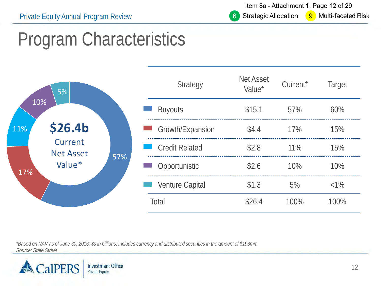Item 8a - Attachment 1, Page 12 of 29  $9<sup>1</sup>$ 

Multi-faceted Risk

## Program Characteristics

| 5%                                                                           |                        | <b>Strategy</b>  | <b>Net Asset</b><br>Value* | Current* | Target  |
|------------------------------------------------------------------------------|------------------------|------------------|----------------------------|----------|---------|
| 10%                                                                          | <b>Buyouts</b>         |                  | \$15.1                     | 57%      | 60%     |
| <b>\$26.4b</b><br>11%<br>Current<br><b>Net Asset</b><br>57%<br>Value*<br>17% |                        | Growth/Expansion | \$4.4                      | 17%      | 15%     |
|                                                                              | <b>Credit Related</b>  |                  | \$2.8                      | $11\%$   | 15%     |
|                                                                              | Opportunistic          |                  | \$2.6                      | 10%      | 10%     |
|                                                                              | <b>Venture Capital</b> |                  | \$1.3                      | 5%       | $< 1\%$ |
|                                                                              | Total                  |                  | \$26.4                     | 100%     | 100%    |

*\*Based on NAV as of June 30, 2016; \$s in billions; Includes currency and distributed securities in the amount of \$193mm Source: State Street*

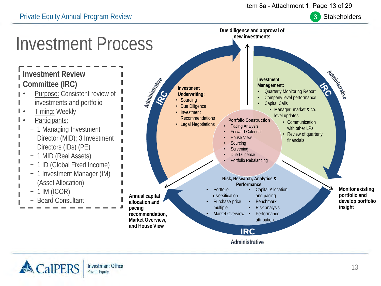#### Item 8a - Attachment 1, Page 13 of 29







Private Equity Annual Program Review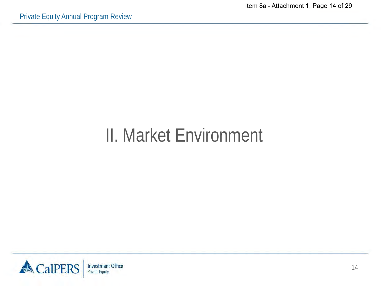#### II. Market Environment

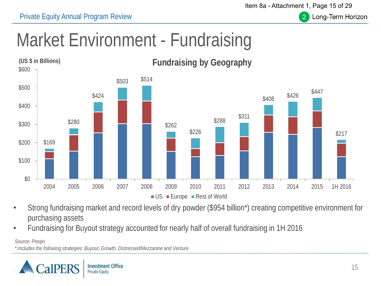Private Equity Annual Program Review

Item 8a - Attachment 1, Page 15 of 29



Long-Term Horizon

## Market Environment - Fundraising



- Strong fundraising market and record levels of dry powder (\$954 billion\*) creating competitive environment for purchasing assets
- Fundraising for Buyout strategy accounted for nearly half of overall fundraising in 1H 2016

*Source: Preqin*

*\* Includes the following strategies: Buyout, Growth, Distressed/Mezzanine and Venture*

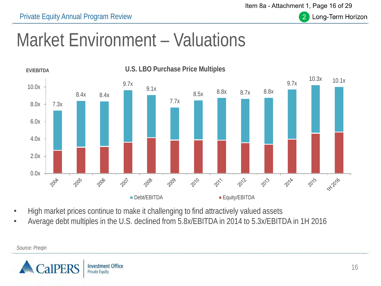Item 8a - Attachment 1, Page 16 of 29

 $\overline{2}$ 



#### Market Environment – Valuations



- High market prices continue to make it challenging to find attractively valued assets
- Average debt multiples in the U.S. declined from 5.8x/EBITDA in 2014 to 5.3x/EBITDA in 1H 2016



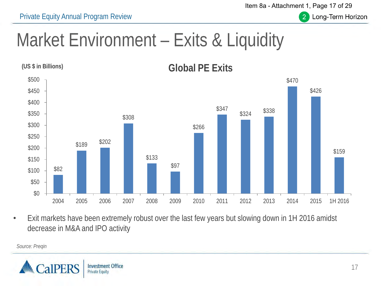Private Equity Annual Program Review

Item 8a - Attachment 1, Page 17 of 29

 $\overline{2}$ 



#### Market Environment – Exits & Liquidity



• Exit markets have been extremely robust over the last few years but slowing down in 1H 2016 amidst decrease in M&A and IPO activity

*Source: Preqin*

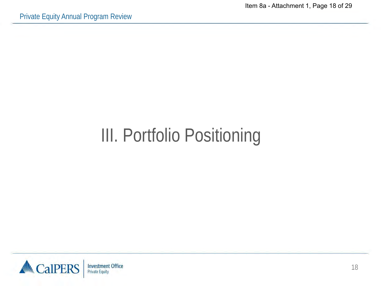Item 8a - Attachment 1, Page 18 of 29

## III. Portfolio Positioning

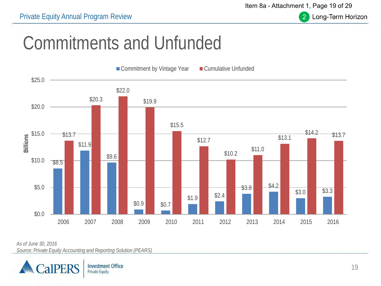Item 8a - Attachment 1, Page 19 of 29



Long-Term Horizon

### Commitments and Unfunded



*As of June 30, 2016*

*Source: Private Equity Accounting and Reporting Solution (PEARS)*

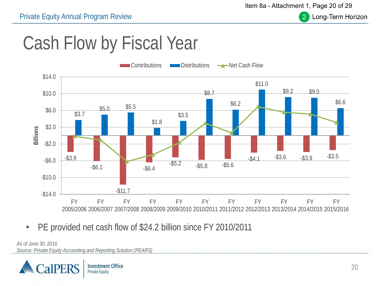$\overline{2}$ 

Long-Term Horizon

### Cash Flow by Fiscal Year



• PE provided net cash flow of \$24.2 billion since FY 2010/2011

*As of June 30, 2016 Source: Private Equity Accounting and Reporting Solution (PEARS)*

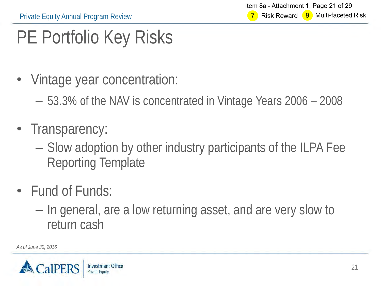## PE Portfolio Key Risks

- Vintage year concentration:
	- 53.3% of the NAV is concentrated in Vintage Years 2006 2008
- Transparency:
	- Slow adoption by other industry participants of the ILPA Fee Reporting Template
- Fund of Funds:
	- In general, are a low returning asset, and are very slow to return cash

*As of June 30, 2016*

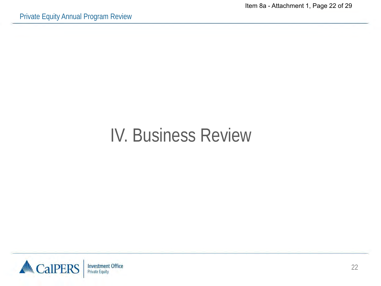Item 8a - Attachment 1, Page 22 of 29

#### IV. Business Review

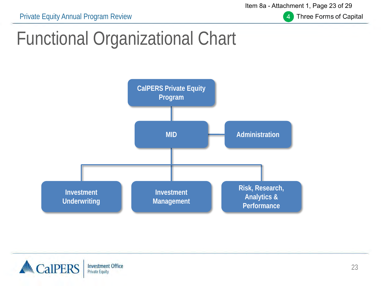Private Equity Annual Program Review

Item 8a - Attachment 1, Page 23 of 29



**Three Forms of Capital** 

### Functional Organizational Chart



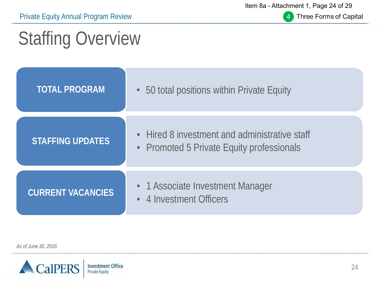Private Equity Annual Program Review

Item 8a - Attachment 1, Page 24 of 29



Three Forms of Capital

## Staffing Overview

| <b>TOTAL PROGRAM</b>     | 50 total positions within Private Equity                                                 |
|--------------------------|------------------------------------------------------------------------------------------|
| <b>STAFFING UPDATES</b>  | Hired 8 investment and administrative staff<br>• Promoted 5 Private Equity professionals |
| <b>CURRENT VACANCIES</b> | • 1 Associate Investment Manager<br>4 Investment Officers                                |

*As of June 30, 2016*

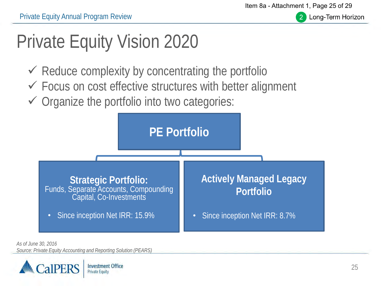Item 8a - Attachment 1, Page 25 of 29



Long-Term Horizon

## Private Equity Vision 2020

- $\checkmark$  Reduce complexity by concentrating the portfolio
- $\checkmark$  Focus on cost effective structures with better alignment
- $\checkmark$  Organize the portfolio into two categories:



*As of June 30, 2016 Source: Private Equity Accounting and Reporting Solution (PEARS)*

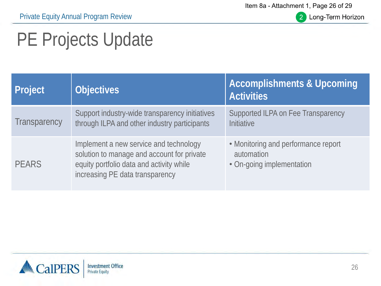Item 8a - Attachment 1, Page 26 of 29



2 Long-Term Horizon

## PE Projects Update

| <b>Project</b>      | <b>Objectives</b>                                                                                                                                                   | <b>Accomplishments &amp; Upcoming</b><br><b>Activities</b>                     |
|---------------------|---------------------------------------------------------------------------------------------------------------------------------------------------------------------|--------------------------------------------------------------------------------|
| <b>Transparency</b> | Support industry-wide transparency initiatives<br>through ILPA and other industry participants                                                                      | Supported ILPA on Fee Transparency<br>Initiative                               |
| <b>PEARS</b>        | Implement a new service and technology<br>solution to manage and account for private<br>equity portfolio data and activity while<br>increasing PE data transparency | • Monitoring and performance report<br>automation<br>• On-going implementation |

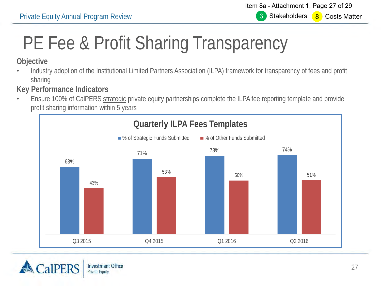Item 8a - Attachment 1, Page 27 of 29 **Stakeholders** 3 8 Costs Matter

## PE Fee & Profit Sharing Transparency

#### **Objective**

• Industry adoption of the Institutional Limited Partners Association (ILPA) framework for transparency of fees and profit sharing

#### **Key Performance Indicators**

• Ensure 100% of CalPERS strategic private equity partnerships complete the ILPA fee reporting template and provide profit sharing information within 5 years



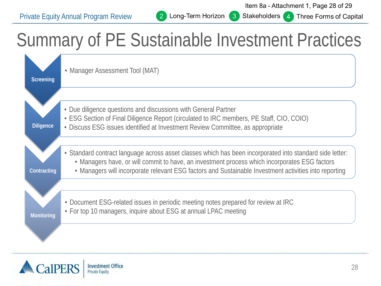2

 $\lceil 3 \rceil$ 

#### Stakeholders 4 Three Forms of Capital

### Summary of PE Sustainable Investment Practices